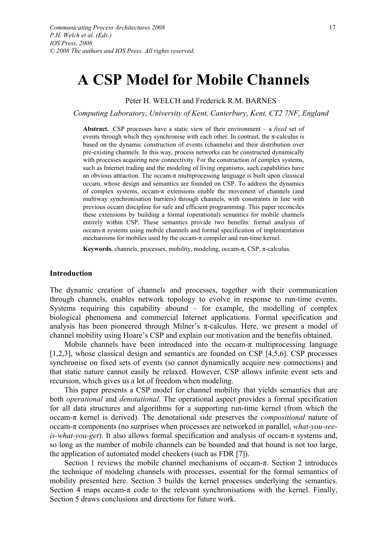# **A CSP Model for Mobile Channels**

Peter H. WELCH and Frederick R.M. BARNES

*Computing Laboratory, University of Kent, Canterbury, Kent, CT2 7NF, England* 

**Abstract.** CSP processes have a static view of their environment – a *fixed* set of events through which they synchronise with each other. In contrast, the  $\pi$ -calculus is based on the dynamic construction of events (channels) and their distribution over pre-existing channels. In this way, process networks can be constructed dynamically with processes acquiring new connectivity. For the construction of complex systems, such as Internet trading and the modeling of living organisms, such capabilities have an obvious attraction. The occam- $\pi$  multiprocessing language is built upon classical occam, whose design and semantics are founded on CSP. To address the dynamics of complex systems, occam-π extensions enable the movement of channels (and multiway synchronisation barriers) through channels, with constraints in line with previous occam discipline for safe and efficient programming. This paper reconciles these extensions by building a formal (operational) semantics for mobile channels entirely within CSP. These semantics provide two benefits: formal analysis of occam-π systems using mobile channels and formal specification of implementation mechanisms for mobiles used by the occam- $\pi$  compiler and run-time kernel.

**Keywords.** channels, processes, mobility, modeling, occam-π, CSP, π-calculus.

## **Introduction**

The dynamic creation of channels and processes, together with their communication through channels, enables network topology to evolve in response to run-time events. Systems requiring this capability abound – for example, the modelling of complex biological phenomena and commercial Internet applications. Formal specification and analysis has been pioneered through Milner's  $\pi$ -calculus. Here, we present a model of channel mobility using Hoare's CSP and explain our motivation and the benefits obtained.

Mobile channels have been introduced into the occam- $\pi$  multiprocessing language [1,2,3], whose classical design and semantics are founded on CSP [4,5,6]. CSP processes synchronise on fixed sets of events (so cannot dynamically acquire new connections) and that static nature cannot easily be relaxed. However, CSP allows infinite event sets and recursion, which gives us a lot of freedom when modeling.

This paper presents a CSP model for channel mobility that yields semantics that are both *operational* and *denotational*. The operational aspect provides a formal specification for all data structures and algorithms for a supporting run-time kernel (from which the occam-π kernel is derived). The denotational side preserves the *compositional* nature of occam-π components (no surprises when processes are networked in parallel, *what-you-seeis-what-you-get*). It also allows formal specification and analysis of occam-π systems and, so long as the number of mobile channels can be bounded and that bound is not too large, the application of automated model checkers (such as FDR [7]).

Section 1 reviews the mobile channel mechanisms of occam-π. Section 2 introduces the technique of modeling channels with processes, essential for the formal semantics of mobility presented here. Section 3 builds the kernel processes underlying the semantics. Section 4 maps occam- $\pi$  code to the relevant synchronisations with the kernel. Finally, Section 5 draws conclusions and directions for future work.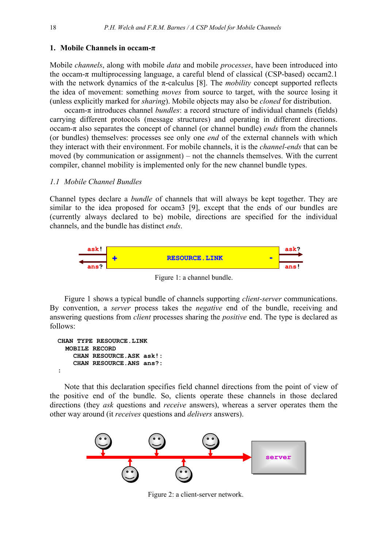# **1. Mobile Channels in occam-π**

Mobile *channels*, along with mobile *data* and mobile *processes*, have been introduced into the occam-π multiprocessing language, a careful blend of classical (CSP-based) occam2.1 with the network dynamics of the  $\pi$ -calculus [8]. The *mobility* concept supported reflects the idea of movement: something *moves* from source to target, with the source losing it (unless explicitly marked for *sharing*). Mobile objects may also be *cloned* for distribution.

occam-π introduces channel *bundles*: a record structure of individual channels (fields) carrying different protocols (message structures) and operating in different directions. occam-π also separates the concept of channel (or channel bundle) *ends* from the channels (or bundles) themselves: processes see only one *end* of the external channels with which they interact with their environment. For mobile channels, it is the *channel-ends* that can be moved (by communication or assignment) – not the channels themselves. With the current compiler, channel mobility is implemented only for the new channel bundle types.

# *1.1 Mobile Channel Bundles*

Channel types declare a *bundle* of channels that will always be kept together. They are similar to the idea proposed for occam3 [9], except that the ends of our bundles are (currently always declared to be) mobile, directions are specified for the individual channels, and the bundle has distinct *ends*.



Figure 1: a channel bundle.

Figure 1 shows a typical bundle of channels supporting *client-server* communications. By convention, a *server* process takes the *negative* end of the bundle, receiving and answering questions from *client* processes sharing the *positive* end. The type is declared as follows:

```
 CHAN TYPE RESOURCE.LINK 
   MOBILE RECORD 
     CHAN RESOURCE.ASK ask!: 
     CHAN RESOURCE.ANS ans?: 
 :
```
Note that this declaration specifies field channel directions from the point of view of the positive end of the bundle. So, clients operate these channels in those declared directions (they *ask* questions and *receive* answers), whereas a server operates them the other way around (it *receives* questions and *delivers* answers).



Figure 2: a client-server network.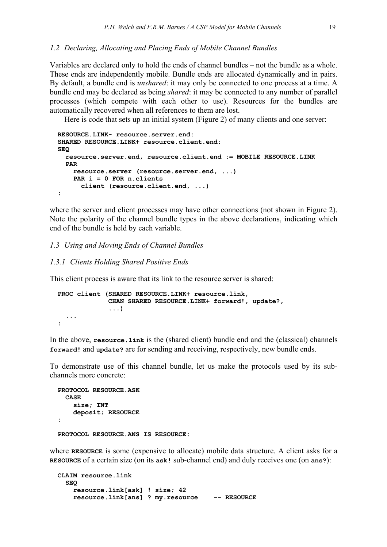#### *1.2 Declaring, Allocating and Placing Ends of Mobile Channel Bundles*

Variables are declared only to hold the ends of channel bundles – not the bundle as a whole. These ends are independently mobile. Bundle ends are allocated dynamically and in pairs. By default, a bundle end is *unshared*: it may only be connected to one process at a time. A bundle end may be declared as being *shared*: it may be connected to any number of parallel processes (which compete with each other to use). Resources for the bundles are automatically recovered when all references to them are lost.

Here is code that sets up an initial system (Figure 2) of many clients and one server:

```
 RESOURCE.LINK- resource.server.end: 
 SHARED RESOURCE.LINK+ resource.client.end: 
 SEQ 
   resource.server.end, resource.client.end := MOBILE RESOURCE.LINK 
   PAR 
     resource.server (resource.server.end, ...) 
     PAR i = 0 FOR n.clients 
       client (resource.client.end, ...) 
 :
```
where the server and client processes may have other connections (not shown in Figure 2). Note the polarity of the channel bundle types in the above declarations, indicating which end of the bundle is held by each variable.

## *1.3 Using and Moving Ends of Channel Bundles*

#### *1.3.1 Clients Holding Shared Positive Ends*

This client process is aware that its link to the resource server is shared:

```
 PROC client (SHARED RESOURCE.LINK+ resource.link, 
               CHAN SHARED RESOURCE.LINK+ forward!, update?, 
               ...) 
   ... 
 :
```
In the above, **resource.link** is the (shared client) bundle end and the (classical) channels **forward!** and **update?** are for sending and receiving, respectively, new bundle ends.

To demonstrate use of this channel bundle, let us make the protocols used by its subchannels more concrete:

```
 PROTOCOL RESOURCE.ASK 
   CASE 
     size; INT 
     deposit; RESOURCE 
 :
```
 **PROTOCOL RESOURCE.ANS IS RESOURCE:** 

where **RESOURCE** is some (expensive to allocate) mobile data structure. A client asks for a **RESOURCE** of a certain size (on its **ask!** sub-channel end) and duly receives one (on **ans?**):

```
 CLAIM resource.link 
   SEQ 
     resource.link[ask] ! size; 42 
     resource.link[ans] ? my.resource -- RESOURCE
```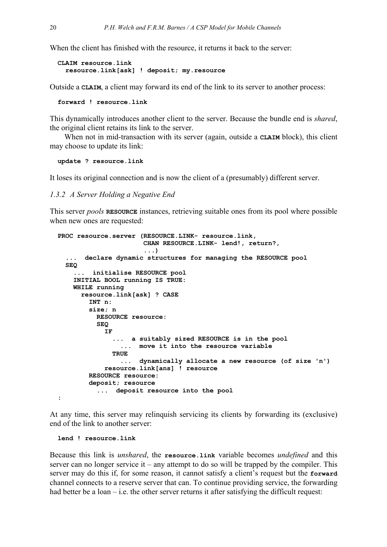When the client has finished with the resource, it returns it back to the server:

```
 CLAIM resource.link 
   resource.link[ask] ! deposit; my.resource
```
Outside a **CLAIM**, a client may forward its end of the link to its server to another process:

```
 forward ! resource.link
```
This dynamically introduces another client to the server. Because the bundle end is *shared*, the original client retains its link to the server.

When not in mid-transaction with its server (again, outside a **CLAIM** block), this client may choose to update its link:

 **update ? resource.link** 

It loses its original connection and is now the client of a (presumably) different server.

## *1.3.2 A Server Holding a Negative End*

This server *pools* **RESOURCE** instances, retrieving suitable ones from its pool where possible when new ones are requested:

```
 PROC resource.server (RESOURCE.LINK- resource.link, 
                          CHAN RESOURCE.LINK- lend!, return?, 
                          ...) 
     ... declare dynamic structures for managing the RESOURCE pool 
    SEQ 
       ... initialise RESOURCE pool 
      INITIAL BOOL running IS TRUE: 
      WHILE running 
         resource.link[ask] ? CASE 
           INT n: 
           size; n 
             RESOURCE resource: 
             SEQ 
IF
                 ... a suitably sized RESOURCE is in the pool 
                   ... move it into the resource variable 
                 TRUE 
                   ... dynamically allocate a new resource (of size 'n') 
               resource.link[ans] ! resource 
           RESOURCE resource: 
           deposit; resource 
             ... deposit resource into the pool
```
At any time, this server may relinquish servicing its clients by forwarding its (exclusive) end of the link to another server:

### **lend ! resource.link**

 **:** 

Because this link is *unshared*, the **resource.link** variable becomes *undefined* and this server can no longer service it – any attempt to do so will be trapped by the compiler. This server may do this if, for some reason, it cannot satisfy a client's request but the **forward** channel connects to a reserve server that can. To continue providing service, the forwarding had better be a loan – i.e. the other server returns it after satisfying the difficult request: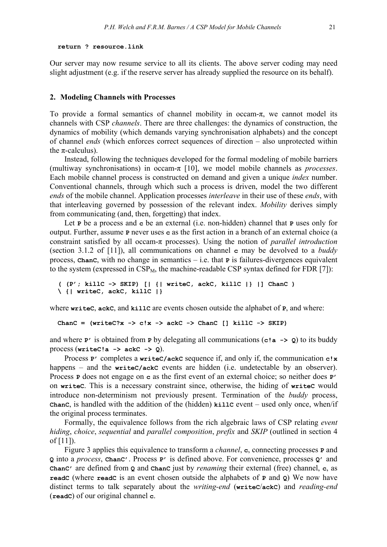#### **return ? resource.link**

Our server may now resume service to all its clients. The above server coding may need slight adjustment (e.g. if the reserve server has already supplied the resource on its behalf).

#### **2. Modeling Channels with Processes**

To provide a formal semantics of channel mobility in occam- $\pi$ , we cannot model its channels with CSP *channels*. There are three challenges: the dynamics of construction, the dynamics of mobility (which demands varying synchronisation alphabets) and the concept of channel *ends* (which enforces correct sequences of direction – also unprotected within the  $\pi$ -calculus).

Instead, following the techniques developed for the formal modeling of mobile barriers (multiway synchronisations) in occam-π [10], we model mobile channels as *processes*. Each mobile channel process is constructed on demand and given a unique *index* number. Conventional channels, through which such a process is driven, model the two different *ends* of the mobile channel. Application processes *interleave* in their use of these *ends*, with that interleaving governed by possession of the relevant index. *Mobility* derives simply from communicating (and, then, forgetting) that index.

Let **P** be a process and **c** be an external (i.e. non-hidden) channel that **P** uses only for output. Further, assume **P** never uses **c** as the first action in a branch of an external choice (a constraint satisfied by all occam-π processes). Using the notion of *parallel introduction* (section 3.1.2 of [11]), all communications on channel **c** may be devolved to a *buddy*  process, **ChanC**, with no change in semantics – i.e. that **P** is failures-divergences equivalent to the system (expressed in  $CSP<sub>M</sub>$ , the machine-readable CSP syntax defined for FDR [7]):

```
 ( (P'; killC -> SKIP) [| {| writeC, ackC, killC |} |] ChanC ) 
 \ {| writeC, ackC, killC |}
```
where **writeC**, **ackC**, and **killC** are events chosen outside the alphabet of **P**, and where:

 **ChanC = (writeC?x -> c!x -> ackC -> ChanC [] killC -> SKIP)** 

and where **P'** is obtained from **P** by delegating all communications (**c!a -> Q**) to its buddy process (**writeC!a -> ackC -> Q**).

Process **P'** completes a **writeC/ackC** sequence if, and only if, the communication **c!x** happens – and the **writeC/ackC** events are hidden (i.e. undetectable by an observer). Process **P** does not engage on **c** as the first event of an external choice; so neither does **P'** on **writeC**. This is a necessary constraint since, otherwise, the hiding of **writeC** would introduce non-determinism not previously present. Termination of the *buddy* process, **ChanC**, is handled with the addition of the (hidden) **killC** event – used only once, when/if the original process terminates.

Formally, the equivalence follows from the rich algebraic laws of CSP relating *event hiding*, *choice*, *sequential* and *parallel composition*, *prefix* and *SKIP* (outlined in section 4 of  $[11]$ ).

Figure 3 applies this equivalence to transform a *channel*, **c**, connecting processes **P** and **Q** into a *process*, **ChanC'**. Process **P'** is defined above. For convenience, processes **Q'** and **ChanC'** are defined from **Q** and **ChanC** just by *renaming* their external (free) channel, **c**, as **readC** (where **readC** is an event chosen outside the alphabets of **P** and **Q**) We now have distinct terms to talk separately about the *writing-end* (**writeC**/**ackC**) and *reading-end* (**readC**) of our original channel **c**.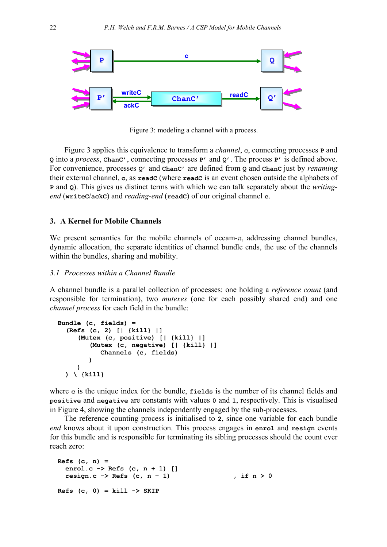

Figure 3: modeling a channel with a process.

Figure 3 applies this equivalence to transform a *channel*, **c**, connecting processes **P** and **Q** into a *process*, **ChanC'**, connecting processes **P'** and **Q'**. The process **P'** is defined above. For convenience, processes **Q'** and **ChanC'** are defined from **Q** and **ChanC** just by *renaming* their external channel, **c**, as **readC** (where **readC** is an event chosen outside the alphabets of **P** and **Q**). This gives us distinct terms with which we can talk separately about the *writingend* (**writeC**/**ackC**) and *reading-end* (**readC**) of our original channel **c**.

# **3. A Kernel for Mobile Channels**

We present semantics for the mobile channels of occam- $\pi$ , addressing channel bundles, dynamic allocation, the separate identities of channel bundle ends, the use of the channels within the bundles, sharing and mobility.

## *3.1 Processes within a Channel Bundle*

A channel bundle is a parallel collection of processes: one holding a *reference count* (and responsible for termination), two *mutexes* (one for each possibly shared end) and one *channel process* for each field in the bundle:

```
 Bundle (c, fields) = 
     (Refs (c, 2) [| {kill} |] 
        (Mutex (c, positive) [| {kill} |] 
           (Mutex (c, negative) [| {kill} |] 
              Channels (c, fields) 
 ) 
 ) 
    ) \ {kill}
```
where **c** is the unique index for the bundle, **fields** is the number of its channel fields and **positive** and **negative** are constants with values **0** and **1**, respectively. This is visualised in Figure 4, showing the channels independently engaged by the sub-processes.

The reference counting process is initialised to **2**, since one variable for each bundle *end* knows about it upon construction. This process engages in **enrol** and **resign** events for this bundle and is responsible for terminating its sibling processes should the count ever reach zero:

```
 Refs (c, n) = 
   enrol.c -> Refs (c, n + 1) [] 
  resign.c \rightarrow Refs (c, n - 1) , if n > 0 Refs (c, 0) = kill -> SKIP
```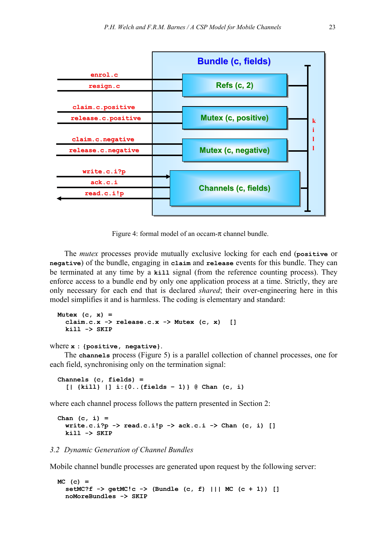

Figure 4: formal model of an occam-**π** channel bundle.

The *mutex* processes provide mutually exclusive locking for each end (**positive** or **negative**) of the bundle, engaging in **claim** and **release** events for this bundle. They can be terminated at any time by a **kill** signal (from the reference counting process). They enforce access to a bundle end by only one application process at a time. Strictly, they are only necessary for each end that is declared *shared*; their over-engineering here in this model simplifies it and is harmless. The coding is elementary and standard:

```
 Mutex (c, x) = 
   claim.c.x -> release.c.x -> Mutex (c, x) [] 
   kill -> SKIP
```
where **x : {positive, negative}**.

The **channels** process (Figure 5) is a parallel collection of channel processes, one for each field, synchronising only on the termination signal:

 **Channels (c, fields) = [| {kill} |] i:{0..(fields – 1)} @ Chan (c, i)** 

where each channel process follows the pattern presented in Section 2:

```
 Chan (c, i) = 
   write.c.i?p -> read.c.i!p -> ack.c.i -> Chan (c, i) [] 
   kill -> SKIP
```
*3.2 Dynamic Generation of Channel Bundles* 

Mobile channel bundle processes are generated upon request by the following server:

```
 MC (c) = 
   setMC?f -> getMC!c -> (Bundle (c, f) ||| MC (c + 1)) [] 
   noMoreBundles -> SKIP
```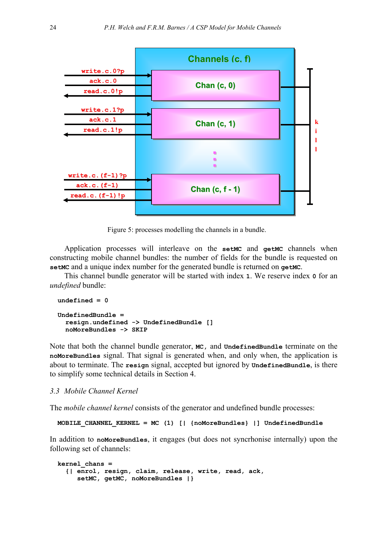

Figure 5: processes modelling the channels in a bundle.

Application processes will interleave on the **setMC** and **getMC** channels when constructing mobile channel bundles: the number of fields for the bundle is requested on **setMC** and a unique index number for the generated bundle is returned on **getMC**.

This channel bundle generator will be started with index **1**. We reserve index **0** for an *undefined* bundle:

```
 undefined = 0 
 UndefinedBundle = 
   resign.undefined -> UndefinedBundle [] 
   noMoreBundles -> SKIP
```
Note that both the channel bundle generator, **MC,** and **UndefinedBundle** terminate on the **noMoreBundles** signal. That signal is generated when, and only when, the application is about to terminate. The **resign** signal, accepted but ignored by **UndefinedBundle**, is there to simplify some technical details in Section 4.

# *3.3 Mobile Channel Kernel*

The *mobile channel kernel* consists of the generator and undefined bundle processes:

 **MOBILE\_CHANNEL\_KERNEL = MC (1) [| {noMoreBundles} |] UndefinedBundle** 

In addition to **noMoreBundles**, it engages (but does not syncrhonise internally) upon the following set of channels:

```
 kernel_chans = 
   {| enrol, resign, claim, release, write, read, ack, 
      setMC, getMC, noMoreBundles |}
```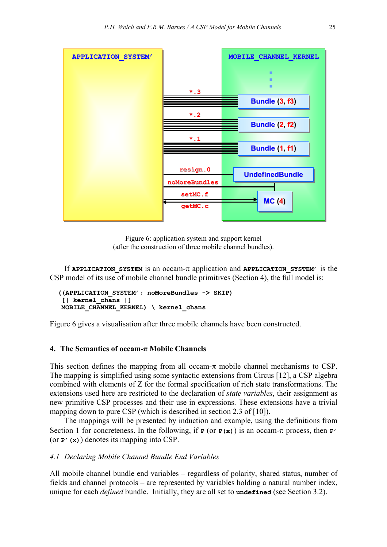



If **APPLICATION** SYSTEM is an occam- $\pi$  application and **APPLICATION** SYSTEM' is the CSP model of its use of mobile channel bundle primitives (Section 4), the full model is:

```
 ((APPLICATION_SYSTEM'; noMoreBundles -> SKIP) 
 [| kernel_chans |] 
 MOBILE_CHANNEL_KERNEL) \ kernel_chans
```
Figure 6 gives a visualisation after three mobile channels have been constructed.

## **4. The Semantics of occam-π Mobile Channels**

This section defines the mapping from all occam- $\pi$  mobile channel mechanisms to CSP. The mapping is simplified using some syntactic extensions from Circus [12], a CSP algebra combined with elements of Z for the formal specification of rich state transformations. The extensions used here are restricted to the declaration of *state variables*, their assignment as new primitive CSP processes and their use in expressions. These extensions have a trivial mapping down to pure CSP (which is described in section 2.3 of [10]).

The mappings will be presented by induction and example, using the definitions from Section 1 for concreteness. In the following, if  $\mathbf{P}$  (or  $\mathbf{P}(\mathbf{x})$ ) is an occam- $\pi$  process, then  $\mathbf{P}'$ (or **P'(x)**) denotes its mapping into CSP.

## *4.1 Declaring Mobile Channel Bundle End Variables*

All mobile channel bundle end variables – regardless of polarity, shared status, number of fields and channel protocols – are represented by variables holding a natural number index, unique for each *defined* bundle. Initially, they are all set to **undefined** (see Section 3.2).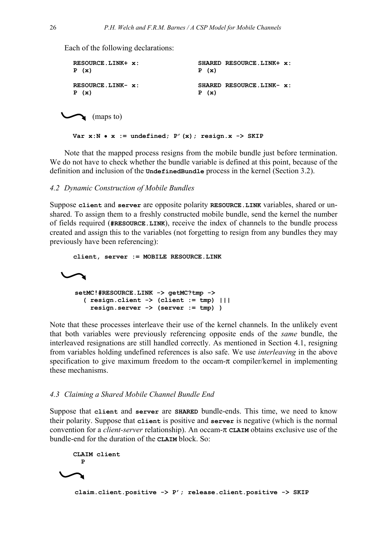Each of the following declarations:

| RESOURCE.LINK+ x:                                              | SHARED RESOURCE.LINK+ x: |
|----------------------------------------------------------------|--------------------------|
| P(x)                                                           | P(x)                     |
| RESOURCE.LINK- x:                                              | SHARED RESOURCE.LINK- x: |
| P(x)                                                           | P(x)                     |
| $\Box$ (maps to)                                               |                          |
| Var $x : N \bullet x :=$ undefined; $P'(x)$ ; resign.x -> SKIP |                          |

Note that the mapped process resigns from the mobile bundle just before termination. We do not have to check whether the bundle variable is defined at this point, because of the definition and inclusion of the **UndefinedBundle** process in the kernel (Section 3.2).

## *4.2 Dynamic Construction of Mobile Bundles*

Suppose **client** and **server** are opposite polarity **RESOURCE.LINK** variables, shared or unshared. To assign them to a freshly constructed mobile bundle, send the kernel the number of fields required (**#RESOURCE.LINK**), receive the index of channels to the bundle process created and assign this to the variables (not forgetting to resign from any bundles they may previously have been referencing):

```
 client, server := MOBILE RESOURCE.LINK 
setMC!#RESOURCE.LINK -> getMC?tmp ->
   ( resign.client -> (client := tmp) ||| 
     resign.server -> (server := tmp) )
```
Note that these processes interleave their use of the kernel channels. In the unlikely event that both variables were previously referencing opposite ends of the *same* bundle, the interleaved resignations are still handled correctly. As mentioned in Section 4.1, resigning from variables holding undefined references is also safe. We use *interleaving* in the above specification to give maximum freedom to the occam-**π** compiler/kernel in implementing these mechanisms.

#### *4.3 Claiming a Shared Mobile Channel Bundle End*

Suppose that **client** and **server** are **SHARED** bundle-ends. This time, we need to know their polarity. Suppose that **client** is positive and **server** is negative (which is the normal convention for a *client-server* relationship). An occam-**π CLAIM** obtains exclusive use of the bundle-end for the duration of the **CLAIM** block. So:

```
 CLAIM client 
P
     claim.client.positive -> P'; release.client.positive -> SKIP
```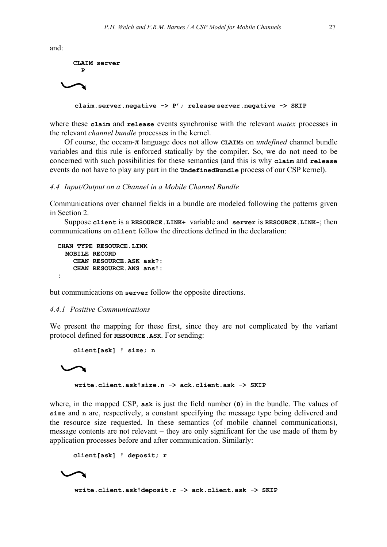and:

```
 CLAIM server 
P
```
#### **claim.server.negative -> P'; release server.negative -> SKIP**

where these **claim** and **release** events synchronise with the relevant *mutex* processes in the relevant *channel bundle* processes in the kernel.

Of course, the occam-**π** language does not allow **CLAIM**s on *undefined* channel bundle variables and this rule is enforced statically by the compiler. So, we do not need to be concerned with such possibilities for these semantics (and this is why **claim** and **release** events do not have to play any part in the **UndefinedBundle** process of our CSP kernel).

#### *4.4 Input/Output on a Channel in a Mobile Channel Bundle*

Communications over channel fields in a bundle are modeled following the patterns given in Section 2.

Suppose **client** is a **RESOURCE.LINK+** variable and **server** is **RESOURCE.LINK-**; then communications on **client** follow the directions defined in the declaration:

```
 CHAN TYPE RESOURCE.LINK 
   MOBILE RECORD 
     CHAN RESOURCE.ASK ask?: 
     CHAN RESOURCE.ANS ans!: 
 :
```
but communications on **server** follow the opposite directions.

## *4.4.1 Positive Communications*

We present the mapping for these first, since they are not complicated by the variant protocol defined for **RESOURCE.ASK**. For sending:

```
 client[ask] ! size; n 
write.client.ask!size.n -> ack.client.ask -> SKIP
```
where, in the mapped CSP, **ask** is just the field number (**0**) in the bundle. The values of **size** and **n** are, respectively, a constant specifying the message type being delivered and the resource size requested. In these semantics (of mobile channel communications), message contents are not relevant – they are only significant for the use made of them by application processes before and after communication. Similarly:

 **client[ask] ! deposit; r** 

**write.client.ask!deposit.r -> ack.client.ask -> SKIP**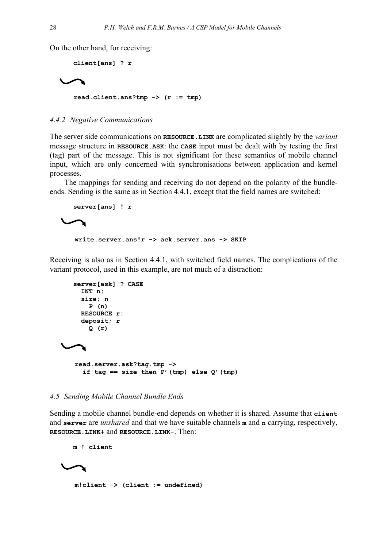On the other hand, for receiving:

```
 client[ans] ? r 
 ↘
read.client.ans?tmp -> (r := tmp)
```
## *4.4.2 Negative Communications*

The server side communications on **RESOURCE.LINK** are complicated slightly by the *variant* message structure in **RESOURCE.ASK**: the **CASE** input must be dealt with by testing the first (tag) part of the message. This is not significant for these semantics of mobile channel input, which are only concerned with synchronisations between application and kernel processes.

The mappings for sending and receiving do not depend on the polarity of the bundleends. Sending is the same as in Section 4.4.1, except that the field names are switched:

```
 server[ans] ! r 
write.server.ans!r -> ack.server.ans -> SKIP
```
Receiving is also as in Section 4.4.1, with switched field names. The complications of the variant protocol, used in this example, are not much of a distraction:

```
 server[ask] ? CASE 
   INT n: 
   size; n 
     P (n) 
   RESOURCE r: 
   deposit; r 
     Q (r) 
read.server.ask?tag.tmp ->
  if tag == size then P' (tmp) else Q' (tmp)
```
#### *4.5 Sending Mobile Channel Bundle Ends*

Sending a mobile channel bundle-end depends on whether it is shared. Assume that **client** and **server** are *unshared* and that we have suitable channels **m** and **n** carrying, respectively, **RESOURCE.LINK+** and **RESOURCE.LINK-**. Then:

 **m ! client m!client -> (client := undefined)**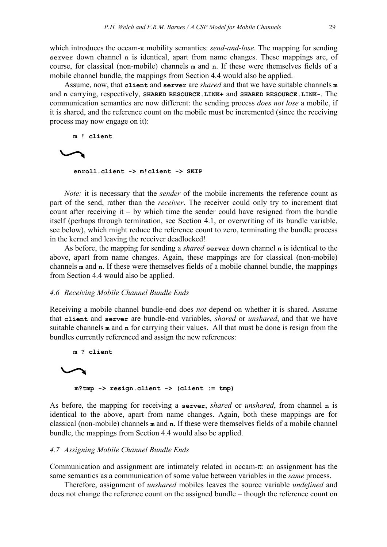which introduces the occam-π mobility semantics: *send-and-lose*. The mapping for sending **server** down channel **n** is identical, apart from name changes. These mappings are, of course, for classical (non-mobile) channels **m** and **n**. If these were themselves fields of a mobile channel bundle, the mappings from Section 4.4 would also be applied.

Assume, now, that **client** and **server** are *shared* and that we have suitable channels **m** and **n** carrying, respectively, **SHARED RESOURCE.LINK+** and **SHARED RESOURCE.LINK-**. The communication semantics are now different: the sending process *does not lose* a mobile, if it is shared, and the reference count on the mobile must be incremented (since the receiving process may now engage on it):

 **m ! client** 

**enroll.client -> m!client -> SKIP**

*Note:* it is necessary that the *sender* of the mobile increments the reference count as part of the send, rather than the *receiver*. The receiver could only try to increment that count after receiving it – by which time the sender could have resigned from the bundle itself (perhaps through termination, see Section 4.1, or overwriting of its bundle variable, see below), which might reduce the reference count to zero, terminating the bundle process in the kernel and leaving the receiver deadlocked!

As before, the mapping for sending a *shared* **server** down channel **n** is identical to the above, apart from name changes. Again, these mappings are for classical (non-mobile) channels **m** and **n**. If these were themselves fields of a mobile channel bundle, the mappings from Section 4.4 would also be applied.

#### *4.6 Receiving Mobile Channel Bundle Ends*

Receiving a mobile channel bundle-end does *not* depend on whether it is shared. Assume that **client** and **server** are bundle-end variables, *shared* or *unshared*, and that we have suitable channels **m** and **n** for carrying their values. All that must be done is resign from the bundles currently referenced and assign the new references:

```
 m ? client
```
**m?tmp -> resign.client -> (client := tmp)**

As before, the mapping for receiving a **server**, *shared* or *unshared*, from channel **n** is identical to the above, apart from name changes. Again, both these mappings are for classical (non-mobile) channels **m** and **n**. If these were themselves fields of a mobile channel bundle, the mappings from Section 4.4 would also be applied.

#### *4.7 Assigning Mobile Channel Bundle Ends*

Communication and assignment are intimately related in occam-**π**: an assignment has the same semantics as a communication of some value between variables in the *same* process.

Therefore, assignment of *unshared* mobiles leaves the source variable *undefined* and does not change the reference count on the assigned bundle – though the reference count on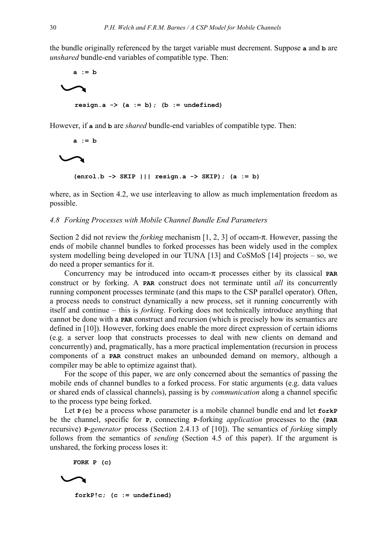the bundle originally referenced by the target variable must decrement. Suppose **a** and **b** are *unshared* bundle-end variables of compatible type. Then:

$$
a := b
$$
\nresp.

\nresp.

\n
$$
a := b
$$
\nresp.

\n
$$
b := \text{undefined}
$$

However, if **a** and **b** are *shared* bundle-end variables of compatible type. Then:

$$
a := b
$$
\n
$$
(enrol.b \rightarrow SKIP || | \text{resign.a -> SKIP} ; (a := b)
$$

where, as in Section 4.2, we use interleaving to allow as much implementation freedom as possible.

## *4.8 Forking Processes with Mobile Channel Bundle End Parameters*

Section 2 did not review the *forking* mechanism [1, 2, 3] of occam-**π**. However, passing the ends of mobile channel bundles to forked processes has been widely used in the complex system modelling being developed in our TUNA [13] and CoSMoS [14] projects – so, we do need a proper semantics for it.

Concurrency may be introduced into occam-**π** processes either by its classical **PAR** construct or by forking. A **PAR** construct does not terminate until *all* its concurrently running component processes terminate (and this maps to the CSP parallel operator). Often, a process needs to construct dynamically a new process, set it running concurrently with itself and continue – this is *forking*. Forking does not technically introduce anything that cannot be done with a **PAR** construct and recursion (which is precisely how its semantics are defined in [10]). However, forking does enable the more direct expression of certain idioms (e.g. a server loop that constructs processes to deal with new clients on demand and concurrently) and, pragmatically, has a more practical implementation (recursion in process components of a **PAR** construct makes an unbounded demand on memory, although a compiler may be able to optimize against that).

For the scope of this paper, we are only concerned about the semantics of passing the mobile ends of channel bundles to a forked process. For static arguments (e.g. data values or shared ends of classical channels), passing is by *communication* along a channel specific to the process type being forked.

Let **P(c)** be a process whose parameter is a mobile channel bundle end and let  $f \circ r kP$ be the channel, specific for **P**, connecting **P**-forking *application* processes to the (**PAR** recursive) **P**-*generator* process (Section 2.4.13 of [10]). The semantics of *forking* simply follows from the semantics of *sending* (Section 4.5 of this paper). If the argument is unshared, the forking process loses it:

```
 FORK P (c)
```

$$
\backsim
$$

**forkP!c; (c := undefined)**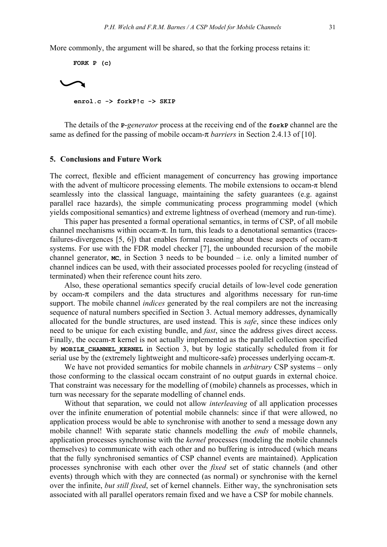More commonly, the argument will be shared, so that the forking process retains it:

```
 FORK P (c) 
enrol.c -> forkP!c -> SKIP
```
The details of the **P**-*generator* process at the receiving end of the **forkP** channel are the same as defined for the passing of mobile occam-**π** *barriers* in Section 2.4.13 of [10].

### **5. Conclusions and Future Work**

The correct, flexible and efficient management of concurrency has growing importance with the advent of multicore processing elements. The mobile extensions to occam- $\pi$  blend seamlessly into the classical language, maintaining the safety guarantees (e.g. against parallel race hazards), the simple communicating process programming model (which yields compositional semantics) and extreme lightness of overhead (memory and run-time).

This paper has presented a formal operational semantics, in terms of CSP, of all mobile channel mechanisms within occam-**π**. In turn, this leads to a denotational semantics (tracesfailures-divergences [5, 6]) that enables formal reasoning about these aspects of occam-**π** systems. For use with the FDR model checker [7], the unbounded recursion of the mobile channel generator, **MC**, in Section 3 needs to be bounded – i.e. only a limited number of channel indices can be used, with their associated processes pooled for recycling (instead of terminated) when their reference count hits zero.

Also, these operational semantics specify crucial details of low-level code generation by occam-**π** compilers and the data structures and algorithms necessary for run-time support. The mobile channel *indices* generated by the real compilers are not the increasing sequence of natural numbers specified in Section 3. Actual memory addresses, dynamically allocated for the bundle structures, are used instead. This is *safe*, since these indices only need to be unique for each existing bundle, and *fast*, since the address gives direct access. Finally, the occam-**π** kernel is not actually implemented as the parallel collection specified by **MOBILE** CHANNEL KERNEL in Section 3, but by logic statically scheduled from it for serial use by the (extremely lightweight and multicore-safe) processes underlying occam-**π**.

We have not provided semantics for mobile channels in *arbitrary* CSP systems – only those conforming to the classical occam constraint of no output guards in external choice. That constraint was necessary for the modelling of (mobile) channels as processes, which in turn was necessary for the separate modelling of channel ends.

Without that separation, we could not allow *interleaving* of all application processes over the infinite enumeration of potential mobile channels: since if that were allowed, no application process would be able to synchronise with another to send a message down any mobile channel! With separate static channels modelling the *ends* of mobile channels, application processes synchronise with the *kernel* processes (modeling the mobile channels themselves) to communicate with each other and no buffering is introduced (which means that the fully synchronised semantics of CSP channel events are maintained). Application processes synchronise with each other over the *fixed* set of static channels (and other events) through which with they are connected (as normal) or synchronise with the kernel over the infinite, *but still fixed*, set of kernel channels. Either way, the synchronisation sets associated with all parallel operators remain fixed and we have a CSP for mobile channels.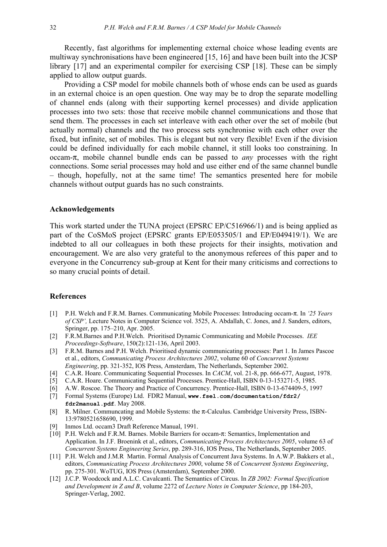Recently, fast algorithms for implementing external choice whose leading events are multiway synchronisations have been engineered [15, 16] and have been built into the JCSP library [17] and an experimental compiler for exercising CSP [18]. These can be simply applied to allow output guards.

Providing a CSP model for mobile channels both of whose ends can be used as guards in an external choice is an open question. One way may be to drop the separate modelling of channel ends (along with their supporting kernel processes) and divide application processes into two sets: those that receive mobile channel communications and those that send them. The processes in each set interleave with each other over the set of mobile (but actually normal) channels and the two process sets synchronise with each other over the fixed, but infinite, set of mobiles. This is elegant but not very flexible! Even if the division could be defined individually for each mobile channel, it still looks too constraining. In occam-**π**, mobile channel bundle ends can be passed to *any* processes with the right connections. Some serial processes may hold and use either end of the same channel bundle – though, hopefully, not at the same time! The semantics presented here for mobile channels without output guards has no such constraints.

## **Acknowledgements**

This work started under the TUNA project (EPSRC EP/C516966/1) and is being applied as part of the CoSMoS project (EPSRC grants EP/E053505/1 and EP/E049419/1). We are indebted to all our colleagues in both these projects for their insights, motivation and encouragement. We are also very grateful to the anonymous referees of this paper and to everyone in the Concurrency sub-group at Kent for their many criticisms and corrections to so many crucial points of detail.

#### **References**

- [1] P.H. Welch and F.R.M. Barnes. Communicating Mobile Processes: Introducing occam-**π**. In *'25 Years of CSP',* Lecture Notes in Computer Science vol. 3525, A. Abdallah, C. Jones, and J. Sanders, editors, Springer, pp. 175–210, Apr. 2005.
- [2] F.R.M.Barnes and P.H.Welch. Prioritised Dynamic Communicating and Mobile Processes. *IEE Proceedings-Software*, 150(2):121-136, April 2003.
- [3] F.R.M. Barnes and P.H. Welch. Prioritised dynamic communicating processes: Part 1. In James Pascoe et al., editors, *Communicating Process Architectures 2002*, volume 60 of *Concurrent Systems Engineering*, pp. 321-352, IOS Press, Amsterdam, The Netherlands, September 2002.
- [4] C.A.R. Hoare. Communicating Sequential Processes. In *CACM*, vol. 21-8, pp. 666-677, August, 1978.
- [5] C.A.R. Hoare. Communicating Sequential Processes. Prentice-Hall, ISBN 0-13-153271-5, 1985.
- [6] A.W. Roscoe. The Theory and Practice of Concurrency. Prentice-Hall, ISBN 0-13-674409-5, 1997
- [7] Formal Systems (Europe) Ltd. FDR2 Manual, **www.fsel.com/documentation/fdr2/ fdr2manual.pdf**. May 2008.
- [8] R. Milner. Communcating and Mobile Systems: the **π**-Calculus. Cambridge University Press, ISBN-13:9780521658690, 1999.
- Inmos Ltd. occam3 Draft Reference Manual, 1991.
- [10] P.H. Welch and F.R.M. Barnes. Mobile Barriers for occam-**π**: Semantics, Implementation and Application. In J.F. Broenink et al., editors, *Communicating Process Architectures 2005*, volume 63 of *Concurrent Systems Engineering Series*, pp. 289-316, IOS Press, The Netherlands, September 2005.
- [11] P.H. Welch and J.M.R Martin. Formal Analysis of Concurrent Java Systems. In A.W.P. Bakkers et al., editors, *Communicating Process Architectures 2000*, volume 58 of *Concurrent Systems Engineering*, pp. 275-301. WoTUG, IOS Press (Amsterdam), September 2000.
- [12] J.C.P. Woodcock and A.L.C. Cavalcanti. The Semantics of Circus. In *ZB 2002: Formal Specification and Development in Z and B*, volume 2272 of *Lecture Notes in Computer Science*, pp 184-203, Springer-Verlag, 2002.